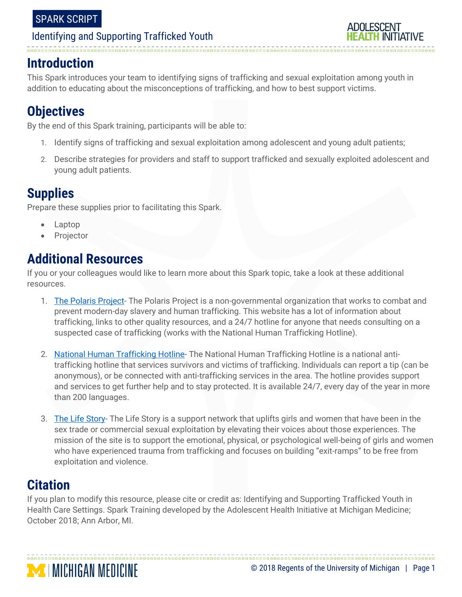

# **Introduction**

This Spark introduces your team to identifying signs of trafficking and sexual exploitation among youth in addition to educating about the misconceptions of trafficking, and how to best support victims.

# **Objectives**

By the end of this Spark training, participants will be able to:

- 1. Identify signs of trafficking and sexual exploitation among adolescent and young adult patients;
- 2. Describe strategies for providers and staff to support trafficked and sexually exploited adolescent and young adult patients.

# **Supplies**

Prepare these supplies prior to facilitating this Spark.

- Laptop
- Projector

# **Additional Resources**

If you or your colleagues would like to learn more about this Spark topic, take a look at these additional resources.

- 1. [The Polaris Project-](https://polarisproject.org/human-trafficking) The Polaris Project is a non-governmental organization that works to combat and prevent modern-day slavery and human trafficking. This website has a lot of information about trafficking, links to other quality resources, and a 24/7 hotline for anyone that needs consulting on a suspected case of trafficking (works with the National Human Trafficking Hotline).
- 2. [National Human Trafficking Hotline-](https://humantraffickinghotline.org/) The National Human Trafficking Hotline is a national antitrafficking hotline that services survivors and victims of trafficking. Individuals can report a tip (can be anonymous), or be connected with anti-trafficking services in the area. The hotline provides support and services to get further help and to stay protected. It is available 24/7, every day of the year in more than 200 languages.
- 3. [The Life Story-](https://thelifestory.org/) The Life Story is a support network that uplifts girls and women that have been in the sex trade or commercial sexual exploitation by elevating their voices about those experiences. The mission of the site is to support the emotional, physical, or psychological well-being of girls and women who have experienced trauma from trafficking and focuses on building "exit-ramps" to be free from exploitation and violence.

# **Citation**

If you plan to modify this resource, please cite or credit as: Identifying and Supporting Trafficked Youth in Health Care Settings. Spark Training developed by the Adolescent Health Initiative at Michigan Medicine; October 2018; Ann Arbor, MI.

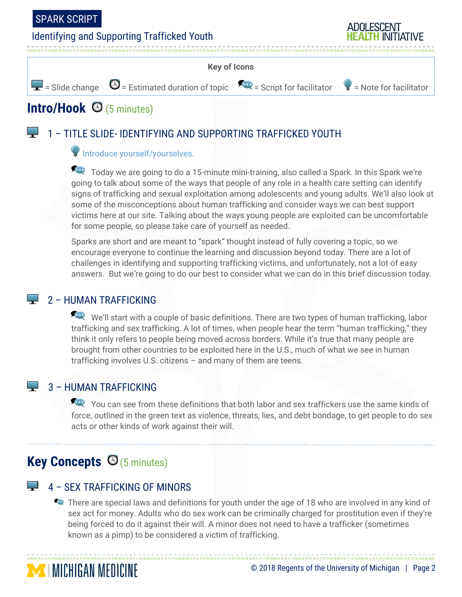

#### **Key of Icons**



# **Intro/Hook** (5 minutes)

# 1 – TITLE SLIDE- IDENTIFYING AND SUPPORTING TRAFFICKED YOUTH

### Introduce yourself/yourselves.

Today we are going to do a 15-minute mini-training, also called a Spark. In this Spark we're going to talk about some of the ways that people of any role in a health care setting can identify signs of trafficking and sexual exploitation among adolescents and young adults. We'll also look at some of the misconceptions about human trafficking and consider ways we can best support victims here at our site. Talking about the ways young people are exploited can be uncomfortable for some people, so please take care of yourself as needed.

Sparks are short and are meant to "spark" thought instead of fully covering a topic, so we encourage everyone to continue the learning and discussion beyond today. There are a lot of challenges in identifying and supporting trafficking victims, and unfortunately, not a lot of easy answers. But we're going to do our best to consider what we can do in this brief discussion today.

### $\Box$  2 – HUMAN TRAFFICKING

We'll start with a couple of basic definitions. There are two types of human trafficking, labor trafficking and sex trafficking. A lot of times, when people hear the term "human trafficking," they think it only refers to people being moved across borders. While it's true that many people are brought from other countries to be exploited here in the U.S., much of what we see in human trafficking involves U.S. citizens – and many of them are teens.

# $\Box$  3 – HUMAN TRAFFICKING

You can see from these definitions that both labor and sex traffickers use the same kinds of force, outlined in the green text as violence, threats, lies, and debt bondage, to get people to do sex acts or other kinds of work against their will.

# **Key Concepts ©** (5 minutes)

**MICHIGAN MEDICINE** 

# 4 – SEX TRAFFICKING OF MINORS

There are special laws and definitions for youth under the age of 18 who are involved in any kind of sex act for money. Adults who do sex work can be criminally charged for prostitution even if they're being forced to do it against their will. A minor does not need to have a trafficker (sometimes known as a pimp) to be considered a victim of trafficking.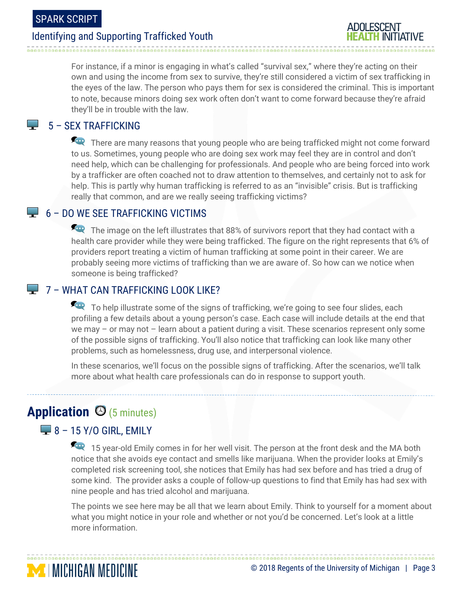

For instance, if a minor is engaging in what's called "survival sex," where they're acting on their own and using the income from sex to survive, they're still considered a victim of sex trafficking in the eyes of the law. The person who pays them for sex is considered the criminal. This is important to note, because minors doing sex work often don't want to come forward because they're afraid they'll be in trouble with the law.

## 5 – SEX TRAFFICKING

There are many reasons that young people who are being trafficked might not come forward to us. Sometimes, young people who are doing sex work may feel they are in control and don't need help, which can be challenging for professionals. And people who are being forced into work by a trafficker are often coached not to draw attention to themselves, and certainly not to ask for help. This is partly why human trafficking is referred to as an "invisible" crisis. But is trafficking really that common, and are we really seeing trafficking victims?

### $\blacktriangleright$  6 – DO WE SEE TRAFFICKING VICTIMS

The image on the left illustrates that 88% of survivors report that they had contact with a health care provider while they were being trafficked. The figure on the right represents that 6% of providers report treating a victim of human trafficking at some point in their career. We are probably seeing more victims of trafficking than we are aware of. So how can we notice when someone is being trafficked?

### $\blacktriangleright$  7 – WHAT CAN TRAFFICKING LOOK LIKE?

To help illustrate some of the signs of trafficking, we're going to see four slides, each profiling a few details about a young person's case. Each case will include details at the end that we may – or may not – learn about a patient during a visit. These scenarios represent only some of the possible signs of trafficking. You'll also notice that trafficking can look like many other problems, such as homelessness, drug use, and interpersonal violence.

In these scenarios, we'll focus on the possible signs of trafficking. After the scenarios, we'll talk more about what health care professionals can do in response to support youth.

# Application  $\Theta$  (5 minutes)

# $\blacktriangleright$  8 – 15 Y/O GIRL, EMILY

15 year-old Emily comes in for her well visit. The person at the front desk and the MA both notice that she avoids eye contact and smells like marijuana. When the provider looks at Emily's completed risk screening tool, she notices that Emily has had sex before and has tried a drug of some kind. The provider asks a couple of follow-up questions to find that Emily has had sex with nine people and has tried alcohol and marijuana.

The points we see here may be all that we learn about Emily. Think to yourself for a moment about what you might notice in your role and whether or not you'd be concerned. Let's look at a little more information.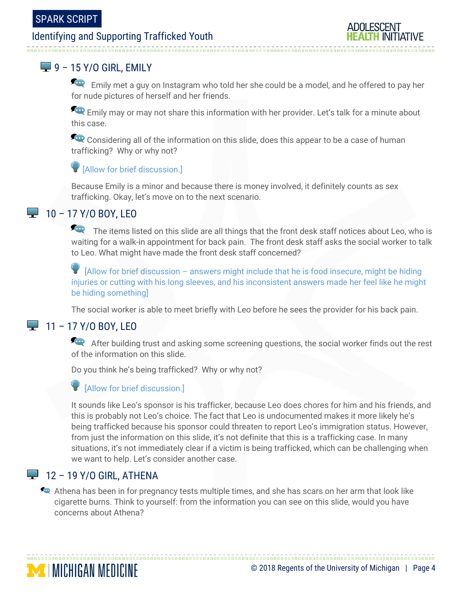--------------------------

# Identifying and Supporting Trafficked Youth



# $\blacktriangleright$  9 – 15 Y/O GIRL, EMILY

Emily met a guy on Instagram who told her she could be a model, and he offered to pay her for nude pictures of herself and her friends.

Emily may or may not share this information with her provider. Let's talk for a minute about this case.

Considering all of the information on this slide, does this appear to be a case of human trafficking? Why or why not?

### [Allow for brief discussion.]

Because Emily is a minor and because there is money involved, it definitely counts as sex trafficking. Okay, let's move on to the next scenario.

# $10 - 17$  Y/O BOY, LEO

The items listed on this slide are all things that the front desk staff notices about Leo, who is waiting for a walk-in appointment for back pain. The front desk staff asks the social worker to talk to Leo. What might have made the front desk staff concerned?

 $\blacktriangleright$  [Allow for brief discussion – answers might include that he is food insecure, might be hiding injuries or cutting with his long sleeves, and his inconsistent answers made her feel like he might be hiding something]

The social worker is able to meet briefly with Leo before he sees the provider for his back pain.

# $-11 - 17$  Y/O BOY, LEO

After building trust and asking some screening questions, the social worker finds out the rest of the information on this slide.

Do you think he's being trafficked? Why or why not?

#### [Allow for brief discussion.]

It sounds like Leo's sponsor is his trafficker, because Leo does chores for him and his friends, and this is probably not Leo's choice. The fact that Leo is undocumented makes it more likely he's being trafficked because his sponsor could threaten to report Leo's immigration status. However, from just the information on this slide, it's not definite that this is a trafficking case. In many situations, it's not immediately clear if a victim is being trafficked, which can be challenging when we want to help. Let's consider another case.

# $\blacktriangleright$  12 – 19 Y/O GIRL, ATHENA

Athena has been in for pregnancy tests multiple times, and she has scars on her arm that look like cigarette burns. Think to yourself: from the information you can see on this slide, would you have concerns about Athena?

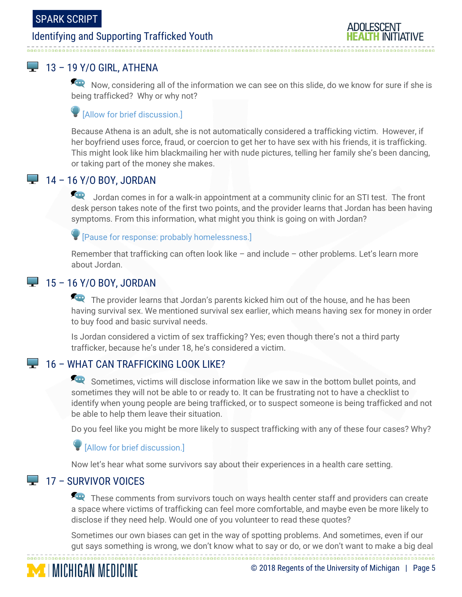# $\blacktriangleright$  13 – 19 Y/O GIRL, ATHENA

Now, considering all of the information we can see on this slide, do we know for sure if she is being trafficked? Why or why not?

## $\blacksquare$  [Allow for brief discussion.]

Because Athena is an adult, she is not automatically considered a trafficking victim. However, if her boyfriend uses force, fraud, or coercion to get her to have sex with his friends, it is trafficking. This might look like him blackmailing her with nude pictures, telling her family she's been dancing, or taking part of the money she makes.

## 14 – 16 Y/O BOY, JORDAN

Jordan comes in for a walk-in appointment at a community clinic for an STI test. The front desk person takes note of the first two points, and the provider learns that Jordan has been having symptoms. From this information, what might you think is going on with Jordan?

#### [Pause for response: probably homelessness.]

Remember that trafficking can often look like – and include – other problems. Let's learn more about Jordan.

# $\blacktriangleright$  15 – 16 Y/O BOY, JORDAN

The provider learns that Jordan's parents kicked him out of the house, and he has been having survival sex. We mentioned survival sex earlier, which means having sex for money in order to buy food and basic survival needs.

Is Jordan considered a victim of sex trafficking? Yes; even though there's not a third party trafficker, because he's under 18, he's considered a victim.

# **16 – WHAT CAN TRAFFICKING LOOK LIKE?**

Sometimes, victims will disclose information like we saw in the bottom bullet points, and sometimes they will not be able to or ready to. It can be frustrating not to have a checklist to identify when young people are being trafficked, or to suspect someone is being trafficked and not be able to help them leave their situation.

Do you feel like you might be more likely to suspect trafficking with any of these four cases? Why?

#### [Allow for brief discussion.]

Now let's hear what some survivors say about their experiences in a health care setting.

# $\Box$  17 – SURVIVOR VOICES

These comments from survivors touch on ways health center staff and providers can create a space where victims of trafficking can feel more comfortable, and maybe even be more likely to disclose if they need help. Would one of you volunteer to read these quotes?

Sometimes our own biases can get in the way of spotting problems. And sometimes, even if our gut says something is wrong, we don't know what to say or do, or we don't want to make a big deal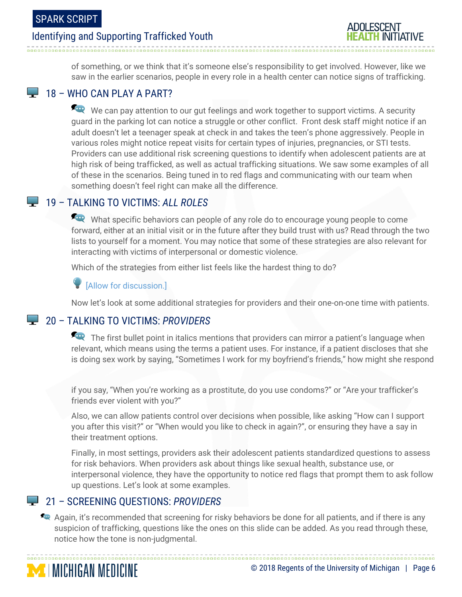

of something, or we think that it's someone else's responsibility to get involved. However, like we saw in the earlier scenarios, people in every role in a health center can notice signs of trafficking.

## $\Box$  18 – WHO CAN PLAY A PART?

We can pay attention to our gut feelings and work together to support victims. A security guard in the parking lot can notice a struggle or other conflict. Front desk staff might notice if an adult doesn't let a teenager speak at check in and takes the teen's phone aggressively. People in various roles might notice repeat visits for certain types of injuries, pregnancies, or STI tests. Providers can use additional risk screening questions to identify when adolescent patients are at high risk of being trafficked, as well as actual trafficking situations. We saw some examples of all of these in the scenarios. Being tuned in to red flags and communicating with our team when something doesn't feel right can make all the difference.

# 19 – TALKING TO VICTIMS: *ALL ROLES*

What specific behaviors can people of any role do to encourage young people to come forward, either at an initial visit or in the future after they build trust with us? Read through the two lists to yourself for a moment. You may notice that some of these strategies are also relevant for interacting with victims of interpersonal or domestic violence.

Which of the strategies from either list feels like the hardest thing to do?

[Allow for discussion.]

Now let's look at some additional strategies for providers and their one-on-one time with patients.

# 20 – TALKING TO VICTIMS: *PROVIDERS*

The first bullet point in italics mentions that providers can mirror a patient's language when relevant, which means using the terms a patient uses. For instance, if a patient discloses that she is doing sex work by saying, "Sometimes I work for my boyfriend's friends," how might she respond

if you say, "When you're working as a prostitute, do you use condoms?" or "Are your trafficker's friends ever violent with you?"

Also, we can allow patients control over decisions when possible, like asking "How can I support you after this visit?" or "When would you like to check in again?", or ensuring they have a say in their treatment options.

Finally, in most settings, providers ask their adolescent patients standardized questions to assess for risk behaviors. When providers ask about things like sexual health, substance use, or interpersonal violence, they have the opportunity to notice red flags that prompt them to ask follow up questions. Let's look at some examples.

# 21 – SCREENING QUESTIONS: *PROVIDERS*

**MICHIGAN MEDICINE** 

Again, it's recommended that screening for risky behaviors be done for all patients, and if there is any suspicion of trafficking, questions like the ones on this slide can be added. As you read through these, notice how the tone is non-judgmental.